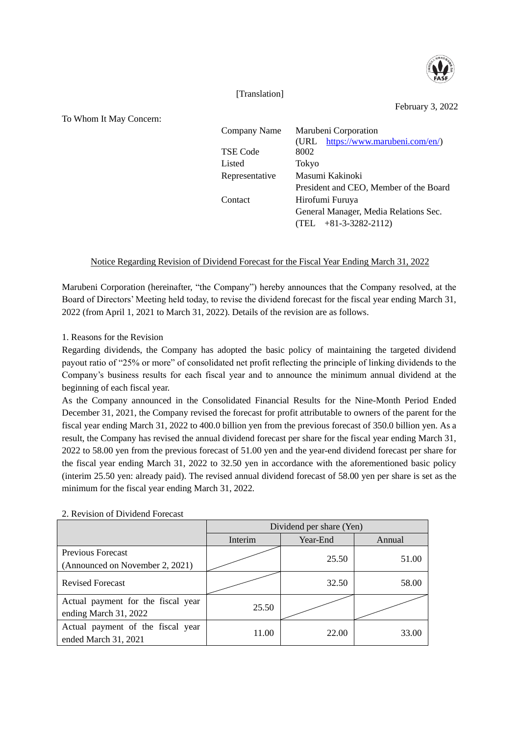

[Translation]

February 3, 2022

To Whom It May Concern:

| Company Name   | Marubeni Corporation<br>https://www.marubeni.com/en/)<br>(URL) |  |
|----------------|----------------------------------------------------------------|--|
| TSE Code       | 8002                                                           |  |
| Listed         | Tokyo                                                          |  |
| Representative | Masumi Kakinoki                                                |  |
|                | President and CEO, Member of the Board                         |  |
| Contact        | Hirofumi Furuya                                                |  |
|                | General Manager, Media Relations Sec.                          |  |
|                | $(TEL + 81-3-3282-2112)$                                       |  |

## Notice Regarding Revision of Dividend Forecast for the Fiscal Year Ending March 31, 2022

Marubeni Corporation (hereinafter, "the Company") hereby announces that the Company resolved, at the Board of Directors' Meeting held today, to revise the dividend forecast for the fiscal year ending March 31, 2022 (from April 1, 2021 to March 31, 2022). Details of the revision are as follows.

1. Reasons for the Revision

Regarding dividends, the Company has adopted the basic policy of maintaining the targeted dividend payout ratio of "25% or more" of consolidated net profit reflecting the principle of linking dividends to the Company's business results for each fiscal year and to announce the minimum annual dividend at the beginning of each fiscal year.

As the Company announced in the Consolidated Financial Results for the Nine-Month Period Ended December 31, 2021, the Company revised the forecast for profit attributable to owners of the parent for the fiscal year ending March 31, 2022 to 400.0 billion yen from the previous forecast of 350.0 billion yen. As a result, the Company has revised the annual dividend forecast per share for the fiscal year ending March 31, 2022 to 58.00 yen from the previous forecast of 51.00 yen and the year-end dividend forecast per share for the fiscal year ending March 31, 2022 to 32.50 yen in accordance with the aforementioned basic policy (interim 25.50 yen: already paid). The revised annual dividend forecast of 58.00 yen per share is set as the minimum for the fiscal year ending March 31, 2022.

|                                                             | Dividend per share (Yen) |          |        |  |
|-------------------------------------------------------------|--------------------------|----------|--------|--|
|                                                             | Interim                  | Year-End | Annual |  |
| <b>Previous Forecast</b><br>(Announced on November 2, 2021) |                          | 25.50    | 51.00  |  |
| <b>Revised Forecast</b>                                     |                          | 32.50    | 58.00  |  |
| Actual payment for the fiscal year<br>ending March 31, 2022 | 25.50                    |          |        |  |
| Actual payment of the fiscal year<br>ended March 31, 2021   | 11.00                    | 22.00    | 33.00  |  |

## 2. Revision of Dividend Forecast